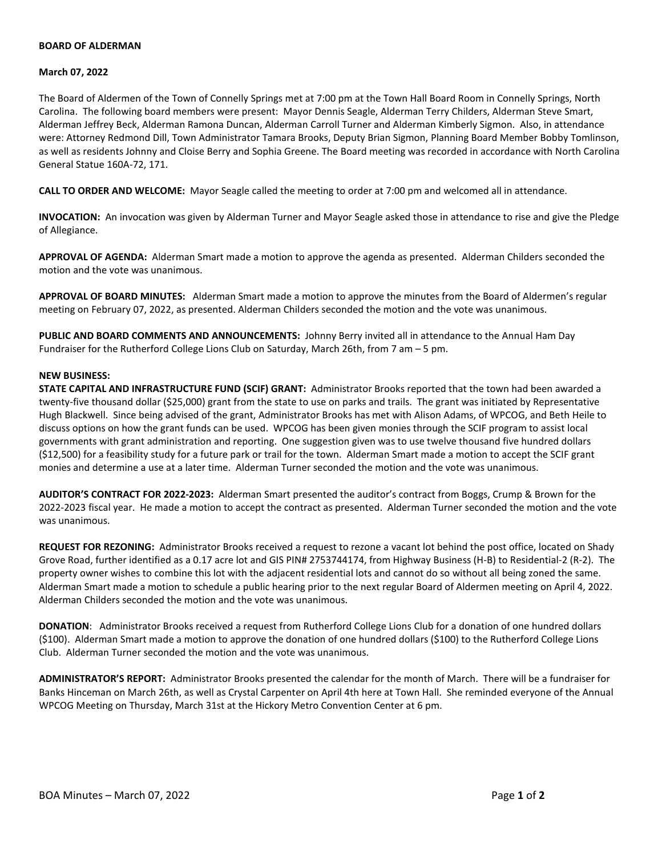## **BOARD OF ALDERMAN**

### **March 07, 2022**

The Board of Aldermen of the Town of Connelly Springs met at 7:00 pm at the Town Hall Board Room in Connelly Springs, North Carolina. The following board members were present: Mayor Dennis Seagle, Alderman Terry Childers, Alderman Steve Smart, Alderman Jeffrey Beck, Alderman Ramona Duncan, Alderman Carroll Turner and Alderman Kimberly Sigmon. Also, in attendance were: Attorney Redmond Dill, Town Administrator Tamara Brooks, Deputy Brian Sigmon, Planning Board Member Bobby Tomlinson, as well as residents Johnny and Cloise Berry and Sophia Greene. The Board meeting was recorded in accordance with North Carolina General Statue 160A-72, 171.

**CALL TO ORDER AND WELCOME:** Mayor Seagle called the meeting to order at 7:00 pm and welcomed all in attendance.

**INVOCATION:** An invocation was given by Alderman Turner and Mayor Seagle asked those in attendance to rise and give the Pledge of Allegiance.

**APPROVAL OF AGENDA:** Alderman Smart made a motion to approve the agenda as presented. Alderman Childers seconded the motion and the vote was unanimous.

**APPROVAL OF BOARD MINUTES:** Alderman Smart made a motion to approve the minutes from the Board of Aldermen's regular meeting on February 07, 2022, as presented. Alderman Childers seconded the motion and the vote was unanimous.

**PUBLIC AND BOARD COMMENTS AND ANNOUNCEMENTS:** Johnny Berry invited all in attendance to the Annual Ham Day Fundraiser for the Rutherford College Lions Club on Saturday, March 26th, from 7 am – 5 pm.

## **NEW BUSINESS:**

**STATE CAPITAL AND INFRASTRUCTURE FUND (SCIF) GRANT:** Administrator Brooks reported that the town had been awarded a twenty-five thousand dollar (\$25,000) grant from the state to use on parks and trails. The grant was initiated by Representative Hugh Blackwell. Since being advised of the grant, Administrator Brooks has met with Alison Adams, of WPCOG, and Beth Heile to discuss options on how the grant funds can be used. WPCOG has been given monies through the SCIF program to assist local governments with grant administration and reporting. One suggestion given was to use twelve thousand five hundred dollars (\$12,500) for a feasibility study for a future park or trail for the town. Alderman Smart made a motion to accept the SCIF grant monies and determine a use at a later time. Alderman Turner seconded the motion and the vote was unanimous.

**AUDITOR'S CONTRACT FOR 2022-2023:** Alderman Smart presented the auditor's contract from Boggs, Crump & Brown for the 2022-2023 fiscal year. He made a motion to accept the contract as presented. Alderman Turner seconded the motion and the vote was unanimous.

**REQUEST FOR REZONING:** Administrator Brooks received a request to rezone a vacant lot behind the post office, located on Shady Grove Road, further identified as a 0.17 acre lot and GIS PIN# 2753744174, from Highway Business (H-B) to Residential-2 (R-2). The property owner wishes to combine this lot with the adjacent residential lots and cannot do so without all being zoned the same. Alderman Smart made a motion to schedule a public hearing prior to the next regular Board of Aldermen meeting on April 4, 2022. Alderman Childers seconded the motion and the vote was unanimous.

**DONATION**: Administrator Brooks received a request from Rutherford College Lions Club for a donation of one hundred dollars (\$100). Alderman Smart made a motion to approve the donation of one hundred dollars (\$100) to the Rutherford College Lions Club. Alderman Turner seconded the motion and the vote was unanimous.

**ADMINISTRATOR'S REPORT:** Administrator Brooks presented the calendar for the month of March. There will be a fundraiser for Banks Hinceman on March 26th, as well as Crystal Carpenter on April 4th here at Town Hall. She reminded everyone of the Annual WPCOG Meeting on Thursday, March 31st at the Hickory Metro Convention Center at 6 pm.